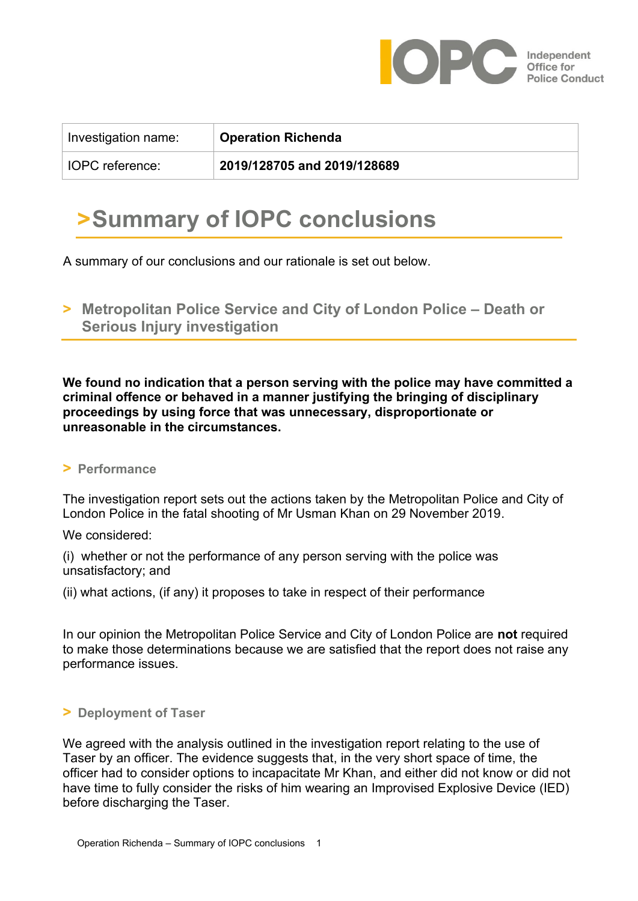

| Investigation name: | <b>Operation Richenda</b>   |
|---------------------|-----------------------------|
| IOPC reference:     | 2019/128705 and 2019/128689 |

# **>Summary of IOPC conclusions**

A summary of our conclusions and our rationale is set out below.

 $\triangleright$  **Metropolitan Police Service and City of London Police – Death or Serious Injury investigation** 

**We found no indication that a person serving with the police may have committed a criminal offence or behaved in a manner justifying the bringing of disciplinary proceedings by using force that was unnecessary, disproportionate or unreasonable in the circumstances.**

#### **> Performance**

The investigation report sets out the actions taken by the Metropolitan Police and City of London Police in the fatal shooting of Mr Usman Khan on 29 November 2019.

We considered:

(i) whether or not the performance of any person serving with the police was unsatisfactory; and

(ii) what actions, (if any) it proposes to take in respect of their performance

In our opinion the Metropolitan Police Service and City of London Police are **not** required to make those determinations because we are satisfied that the report does not raise any performance issues.

#### **> Deployment of Taser**

We agreed with the analysis outlined in the investigation report relating to the use of Taser by an officer. The evidence suggests that, in the very short space of time, the officer had to consider options to incapacitate Mr Khan, and either did not know or did not have time to fully consider the risks of him wearing an Improvised Explosive Device (IED) before discharging the Taser.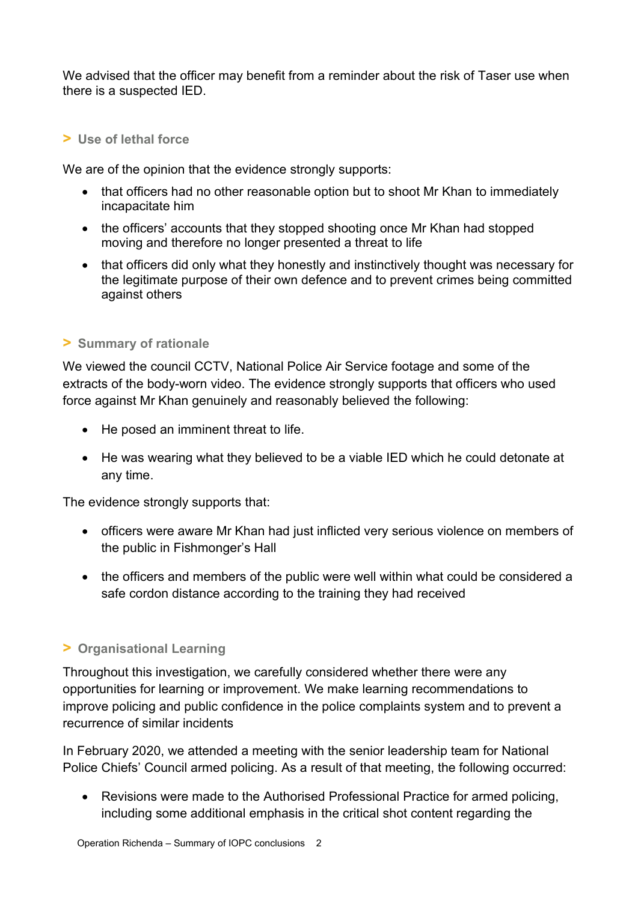We advised that the officer may benefit from a reminder about the risk of Taser use when there is a suspected IED.

### **> Use of lethal force**

We are of the opinion that the evidence strongly supports:

- that officers had no other reasonable option but to shoot Mr Khan to immediately incapacitate him
- the officers' accounts that they stopped shooting once Mr Khan had stopped moving and therefore no longer presented a threat to life
- that officers did only what they honestly and instinctively thought was necessary for the legitimate purpose of their own defence and to prevent crimes being committed against others

## **> Summary of rationale**

We viewed the council CCTV, National Police Air Service footage and some of the extracts of the body-worn video. The evidence strongly supports that officers who used force against Mr Khan genuinely and reasonably believed the following:

- He posed an imminent threat to life.
- He was wearing what they believed to be a viable IED which he could detonate at any time.

The evidence strongly supports that:

- officers were aware Mr Khan had just inflicted very serious violence on members of the public in Fishmonger's Hall
- the officers and members of the public were well within what could be considered a safe cordon distance according to the training they had received

# **> Organisational Learning**

Throughout this investigation, we carefully considered whether there were any opportunities for learning or improvement. We make learning recommendations to improve policing and public confidence in the police complaints system and to prevent a recurrence of similar incidents

In February 2020, we attended a meeting with the senior leadership team for National Police Chiefs' Council armed policing. As a result of that meeting, the following occurred:

• Revisions were made to the Authorised Professional Practice for armed policing, including some additional emphasis in the critical shot content regarding the